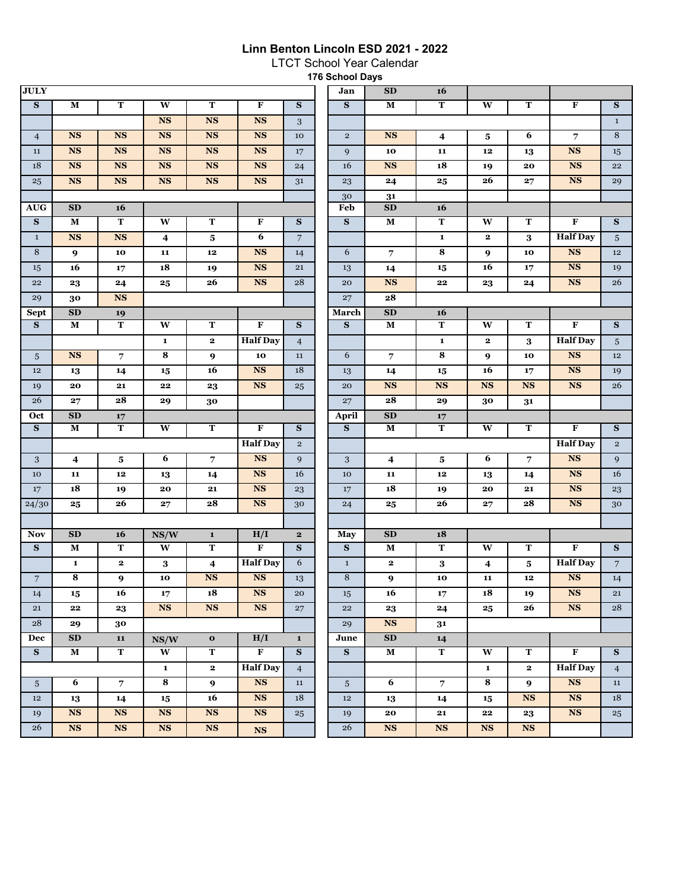## **Linn Benton Lincoln ESD 2021 - 2022**

LTCT School Year Calendar

**176 School Days** 

| <b>JULY</b>             |                        |                        |                         |                         |                         |                         | Jan             | ${\bf SD}$             | 16                      |                         |                         |                         |                         |
|-------------------------|------------------------|------------------------|-------------------------|-------------------------|-------------------------|-------------------------|-----------------|------------------------|-------------------------|-------------------------|-------------------------|-------------------------|-------------------------|
| ${\bf S}$               | M                      | $\mathbf T$            | W                       | ${\bf T}$               | $\mathbf F$             | S                       | $\mathbf{s}$    | $\mathbf M$            | $\mathbf T$             | W                       | ${\bf T}$               | $\mathbf F$             | $\overline{\mathbf{s}}$ |
|                         |                        |                        | <b>NS</b>               | <b>NS</b>               | <b>NS</b>               | $\mathbf{3}$            |                 |                        |                         |                         |                         |                         | $1\,$                   |
| $\overline{4}$          | $\overline{\text{NS}}$ | $\overline{\text{NS}}$ | <b>NS</b>               | <b>NS</b>               | $\overline{\text{NS}}$  | 10                      | $\mathbf{2}$    | <b>NS</b>              | $\overline{4}$          | 5                       | 6                       | $\overline{7}$          | $\overline{8}$          |
| $11\,$                  | $\overline{\text{NS}}$ | <b>NS</b>              | <b>NS</b>               | <b>NS</b>               | $\overline{\text{NS}}$  | 17                      | 9               | 10                     | 11                      | $12$                    | 13                      | $\overline{\text{NS}}$  | 15                      |
| 18                      | <b>NS</b>              | $_{\rm NS}$            | NS                      | $\mathbf{NS}$           | <b>NS</b>               | 24                      | 16              | <b>NS</b>              | ${\bf 18}$              | 19                      | 20                      | <b>NS</b>               | 22                      |
| 25                      | <b>NS</b>              | <b>NS</b>              | <b>NS</b>               | $\overline{\text{NS}}$  | <b>NS</b>               | 31                      | 23              | 24                     | 25                      | 26                      | 27                      | <b>NS</b>               | 29                      |
|                         |                        |                        |                         |                         |                         |                         | 30              | 31                     |                         |                         |                         |                         |                         |
| <b>AUG</b>              | SD                     | 16                     |                         |                         |                         |                         | Feb             | SD                     | 16                      |                         |                         |                         |                         |
| ${\bf S}$               | M                      | $\mathbf T$            | $\mathbf{W}$            | ${\bf T}$               | F                       | ${\bf S}$               | $\mathbf{s}$    | $\mathbf M$            | $\overline{\mathbf{T}}$ | W                       | ${\bf T}$               | $\mathbf F$             | ${\bf S}$               |
| $1\,$                   | <b>NS</b>              | NS                     | $\overline{\mathbf{4}}$ | 5                       | 6                       | $\overline{7}$          |                 |                        | $\mathbf 1$             | $\mathbf{2}$            | 3                       | <b>Half</b> Day         | 5 <sup>5</sup>          |
| $\,8\,$                 | $\boldsymbol{9}$       | 10                     | 11                      | ${\bf 12}$              | <b>NS</b>               | 14                      | 6               | $\overline{7}$         | 8                       | 9                       | 10                      | <b>NS</b>               | 12                      |
| 15                      | 16                     | 17                     | 18                      | 19                      | $\mathbf{NS}$           | 21                      | 13              | 14                     | 15                      | 16                      | 17                      | $_{\rm NS}$             | 19                      |
| ${\bf 22}$              | 23                     | 24                     | 25                      | 26                      | <b>NS</b>               | 28                      | 20              | <b>NS</b>              | $\bf{22}$               | 23                      | 24                      | $\mathbf{NS}$           | 26                      |
| 29                      | <b>NS</b><br>30        |                        |                         |                         |                         |                         | 27              | 28                     |                         |                         |                         |                         |                         |
| <b>Sept</b>             | SD                     | 19                     |                         |                         |                         |                         | March           | SD                     | 16                      |                         |                         |                         |                         |
| S                       | M                      | $\mathbf T$            | W                       | T                       | F                       | ${\bf S}$               | S               | $\mathbf M$            | $\overline{T}$          | W                       | $\mathbf T$             | $\overline{\mathbf{F}}$ | $\overline{\mathbf{s}}$ |
|                         |                        |                        | $\mathbf{1}$            | $\mathbf 2$             | <b>Half</b> Day         | $\overline{4}$          |                 |                        | $\mathbf 1$             | $\mathbf{2}$            | 3                       | <b>Half</b> Day         | 5                       |
| $\sqrt{5}$              | <b>NS</b>              | 7                      | 8                       | 9                       | 10                      | 11                      | 6               | 7                      | 8                       | 9                       | 10                      | $\overline{\text{NS}}$  | $12\,$                  |
| 12                      | 13                     | 14                     | 15                      | 16                      | <b>NS</b>               | 18                      | 13              | 14                     | $15\phantom{.0}$        | 16                      | 17                      | $\mathbf{NS}$           | 19                      |
| 19                      | 20                     | 21                     | 22                      | 23                      | $\overline{\text{NS}}$  | 25                      | 20              | $\overline{\text{NS}}$ | $\mathbf{NS}$           | <b>NS</b>               | <b>NS</b>               | <b>NS</b>               | 26                      |
| 26                      | 27                     | 28                     | 29                      | 30                      |                         |                         | 27              | 28                     | 29                      | 30                      | 31                      |                         |                         |
|                         | SD<br>17               |                        |                         |                         |                         |                         |                 |                        |                         |                         |                         |                         |                         |
| Oct                     |                        |                        |                         |                         |                         |                         | April           | SD                     | $17\,$                  |                         |                         |                         |                         |
| $\overline{\mathbf{s}}$ | $\mathbf M$            | T                      | $\overline{\mathbf{w}}$ | $\overline{\text{T}}$   | $\overline{\mathbf{F}}$ | $\overline{\mathbf{s}}$ | S               | $\mathbf M$            | $\overline{\mathbf{T}}$ | $\overline{\mathbf{W}}$ | $\overline{\mathbf{T}}$ | $\overline{\mathbf{F}}$ | $\overline{\mathbf{s}}$ |
|                         |                        |                        |                         |                         | <b>Half</b> Day         | $\mathbf 2$             |                 |                        |                         |                         |                         | <b>Half</b> Day         | $\overline{2}$          |
| 3                       | $\overline{4}$         | 5                      | 6                       | $\overline{7}$          | <b>NS</b>               | 9                       | 3               | $\overline{4}$         | $\bf{5}$                | 6                       | 7                       | <b>NS</b>               | 9                       |
| 10                      | 11                     | 12                     | 13                      | 14                      | <b>NS</b>               | 16                      | 10              | 11                     | $12$                    | 13                      | 14                      | <b>NS</b>               | 16                      |
| 17                      | 18                     | 19                     | 20                      | $\bf{21}$               | <b>NS</b>               | 23                      | 17              | 18                     | 19                      | 20                      | 21                      | <b>NS</b>               | 23                      |
| 24/30                   | 25                     | 26                     | 27                      | 28                      | <b>NS</b>               | 30                      | 24              | 25                     | 26                      | 27                      | 28                      | $\mathbf{NS}$           | 30                      |
|                         |                        |                        |                         |                         |                         |                         |                 |                        |                         |                         |                         |                         |                         |
| <b>Nov</b>              | SD                     | 16                     | NS/W                    | ${\bf 1}$               | H/I                     | $\mathbf{2}$            | May             | SD                     | 18                      |                         |                         |                         |                         |
| S                       | M                      | $\mathbf T$            | W                       | $\mathbf T$             | $\overline{\mathbf{F}}$ | S                       | ${\bf S}$       | M                      | $\mathbf T$             | W                       | T                       | $\mathbf F$             | S                       |
|                         | $\mathbf{1}$           | $\mathbf 2$            | $\bf{3}$                | $\overline{\mathbf{4}}$ | <b>Half Day</b>         | 6                       | $\mathbf{1}$    | $\mathbf{2}$           | $\bf 3$                 | 4                       | 5                       | <b>Half</b> Day         | 7 <sup>7</sup>          |
| $\overline{7}$          | 8                      | 9                      | 10                      | $\overline{\text{NS}}$  | $\overline{\text{NS}}$  | 13                      | 8               | 9                      | 10                      | 11                      | 12                      | $\mathbf{NS}$           | 14                      |
| 14                      | 15                     | 16                     | 17                      | 18                      | $\overline{\text{NS}}$  | 20                      | 15              | 16                     | 17                      | 18                      | 19                      | NS                      | 21                      |
| 21                      | 22                     | 23                     | NS                      | <b>NS</b>               | $\overline{\text{NS}}$  | 27                      | 22              | 23                     | 24                      | $\bf{25}$               | 26                      | NS                      | 28                      |
| 28                      | 29                     | 30                     |                         |                         |                         |                         | 29              | NS                     | 31                      |                         |                         |                         |                         |
| Dec                     | ${\bf SD}$             | 11                     | NS/W                    | $\mathbf 0$             | H/I                     | $\mathbf{1}$            | June            | SD                     | 14                      |                         |                         |                         |                         |
| ${\bf S}$               | $\mathbf M$            | $\mathbf T$            | $\overline{\mathbf{w}}$ | $\mathbf T$             | $\overline{F}$          | S                       | ${\bf S}$       | $\mathbf M$            | $\mathbf T$             | W                       | $\mathbf T$             | $\mathbf F$             | S                       |
|                         |                        |                        | $\mathbf 1$             | $\mathbf{2}$            | <b>Half Day</b>         | $\overline{4}$          |                 |                        |                         | $\mathbf{1}$            | $\mathbf{2}$            | <b>Half Day</b>         | $\overline{4}$          |
| 5 <sup>5</sup>          | 6                      | $\overline{7}$         | $\overline{\mathbf{8}}$ | $\boldsymbol{9}$        | NS                      | 11                      | $5\phantom{.0}$ | 6                      | $\overline{7}$          | $\overline{\mathbf{8}}$ | $\boldsymbol{9}$        | NS                      | 11                      |
| 12                      | 13                     | 14                     | $15\phantom{.0}$        | 16                      | NS                      | 18                      | $12\,$          | 13                     | 14                      | 15                      | <b>NS</b>               | <b>NS</b>               | 18                      |
| 19                      | <b>NS</b>              | <b>NS</b>              | <b>NS</b>               | <b>NS</b>               | $\overline{\text{NS}}$  | 25                      | 19              | ${\bf 20}$             | $\bf 21$                | 22                      | 23                      | <b>NS</b>               | 25                      |